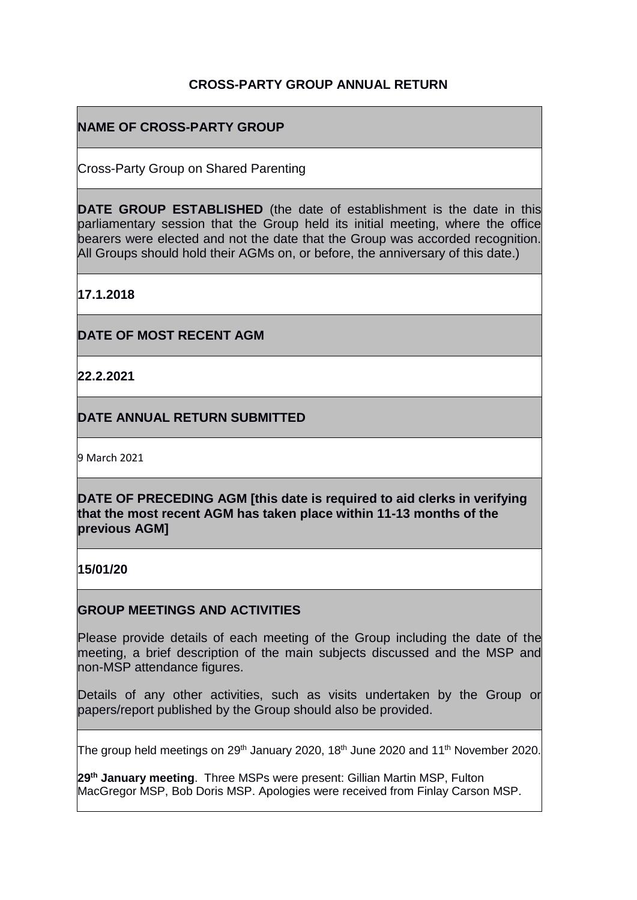## **CROSS-PARTY GROUP ANNUAL RETURN**

# **NAME OF CROSS-PARTY GROUP**

Cross-Party Group on Shared Parenting

**DATE GROUP ESTABLISHED** (the date of establishment is the date in this parliamentary session that the Group held its initial meeting, where the office bearers were elected and not the date that the Group was accorded recognition. All Groups should hold their AGMs on, or before, the anniversary of this date.)

**17.1.2018**

**DATE OF MOST RECENT AGM**

**22.2.2021**

**DATE ANNUAL RETURN SUBMITTED**

9 March 2021

**DATE OF PRECEDING AGM [this date is required to aid clerks in verifying that the most recent AGM has taken place within 11-13 months of the previous AGM]**

**15/01/20**

### **GROUP MEETINGS AND ACTIVITIES**

Please provide details of each meeting of the Group including the date of the meeting, a brief description of the main subjects discussed and the MSP and non-MSP attendance figures.

Details of any other activities, such as visits undertaken by the Group or papers/report published by the Group should also be provided.

The group held meetings on 29<sup>th</sup> January 2020, 18<sup>th</sup> June 2020 and 11<sup>th</sup> November 2020.  $\overline{\phantom{a}}$ 

**29th January meeting**. Three MSPs were present: Gillian Martin MSP, Fulton MacGregor MSP, Bob Doris MSP. Apologies were received from Finlay Carson MSP.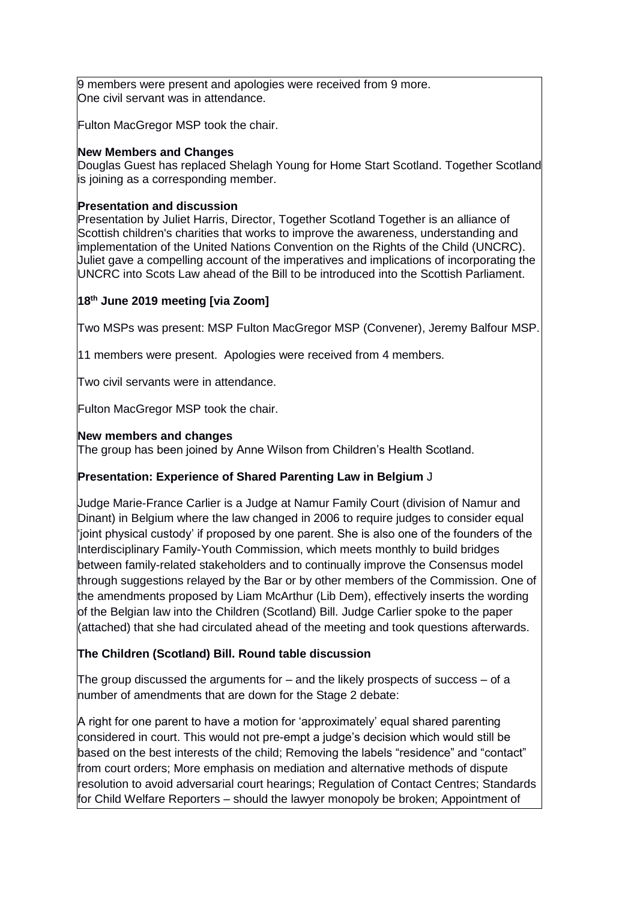9 members were present and apologies were received from 9 more. One civil servant was in attendance.

Fulton MacGregor MSP took the chair.

#### **New Members and Changes**

Douglas Guest has replaced Shelagh Young for Home Start Scotland. Together Scotland is joining as a corresponding member.

#### **Presentation and discussion**

Presentation by Juliet Harris, Director, Together Scotland Together is an alliance of Scottish children's charities that works to improve the awareness, understanding and implementation of the United Nations Convention on the Rights of the Child (UNCRC). Juliet gave a compelling account of the imperatives and implications of incorporating the UNCRC into Scots Law ahead of the Bill to be introduced into the Scottish Parliament.

### **18 th June 2019 meeting [via Zoom]**

Two MSPs was present: MSP Fulton MacGregor MSP (Convener), Jeremy Balfour MSP.

11 members were present. Apologies were received from 4 members.

Two civil servants were in attendance.

Fulton MacGregor MSP took the chair.

#### **New members and changes**

The group has been joined by Anne Wilson from Children's Health Scotland.

### **Presentation: Experience of Shared Parenting Law in Belgium** J

Judge Marie-France Carlier is a Judge at Namur Family Court (division of Namur and Dinant) in Belgium where the law changed in 2006 to require judges to consider equal  $\sharp$ joint physical custody' if proposed by one parent. She is also one of the founders of the Interdisciplinary Family-Youth Commission, which meets monthly to build bridges between family-related stakeholders and to continually improve the Consensus model through suggestions relayed by the Bar or by other members of the Commission. One of the amendments proposed by Liam McArthur (Lib Dem), effectively inserts the wording of the Belgian law into the Children (Scotland) Bill. Judge Carlier spoke to the paper (attached) that she had circulated ahead of the meeting and took questions afterwards.

### **The Children (Scotland) Bill. Round table discussion**

The group discussed the arguments for  $-$  and the likely prospects of success  $-$  of a number of amendments that are down for the Stage 2 debate:

A right for one parent to have a motion for 'approximately' equal shared parenting considered in court. This would not pre-empt a judge's decision which would still be based on the best interests of the child; Removing the labels "residence" and "contact" from court orders; More emphasis on mediation and alternative methods of dispute resolution to avoid adversarial court hearings; Regulation of Contact Centres; Standards for Child Welfare Reporters – should the lawyer monopoly be broken; Appointment of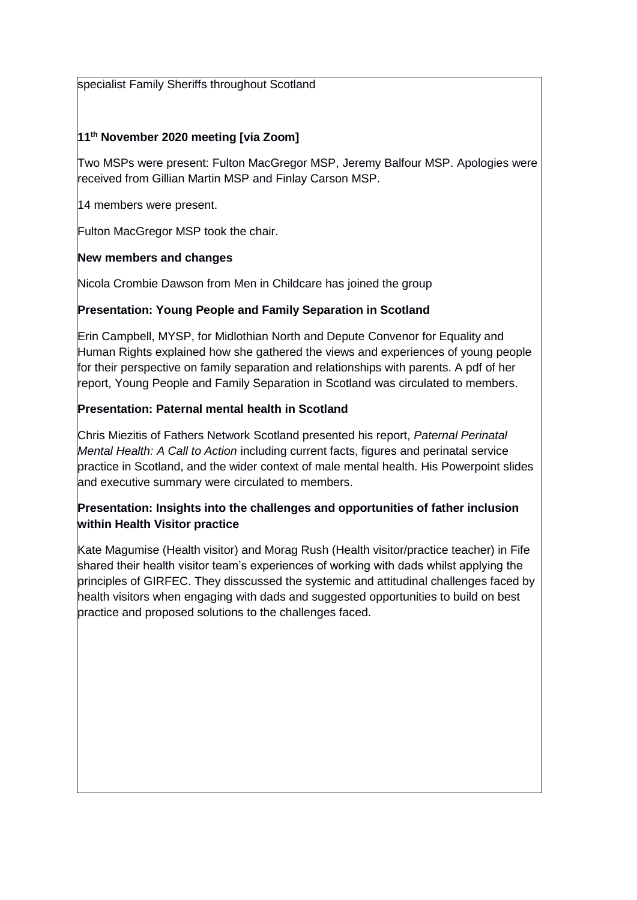specialist Family Sheriffs throughout Scotland

### **11th November 2020 meeting [via Zoom]**

Two MSPs were present: Fulton MacGregor MSP, Jeremy Balfour MSP. Apologies were received from Gillian Martin MSP and Finlay Carson MSP.

14 members were present.

Fulton MacGregor MSP took the chair.

### **New members and changes**

Nicola Crombie Dawson from Men in Childcare has joined the group

### **Presentation: Young People and Family Separation in Scotland**

Erin Campbell, MYSP, for Midlothian North and Depute Convenor for Equality and Human Rights explained how she gathered the views and experiences of young people for their perspective on family separation and relationships with parents. A pdf of her report, Young People and Family Separation in Scotland was circulated to members.

### **Presentation: Paternal mental health in Scotland**

Chris Miezitis of Fathers Network Scotland presented his report, *Paternal Perinatal Mental Health: A Call to Action* including current facts, figures and perinatal service practice in Scotland, and the wider context of male mental health. His Powerpoint slides and executive summary were circulated to members.

### **Presentation: Insights into the challenges and opportunities of father inclusion within Health Visitor practice**

Kate Magumise (Health visitor) and Morag Rush (Health visitor/practice teacher) in Fife shared their health visitor team's experiences of working with dads whilst applying the principles of GIRFEC. They disscussed the systemic and attitudinal challenges faced by health visitors when engaging with dads and suggested opportunities to build on best practice and proposed solutions to the challenges faced.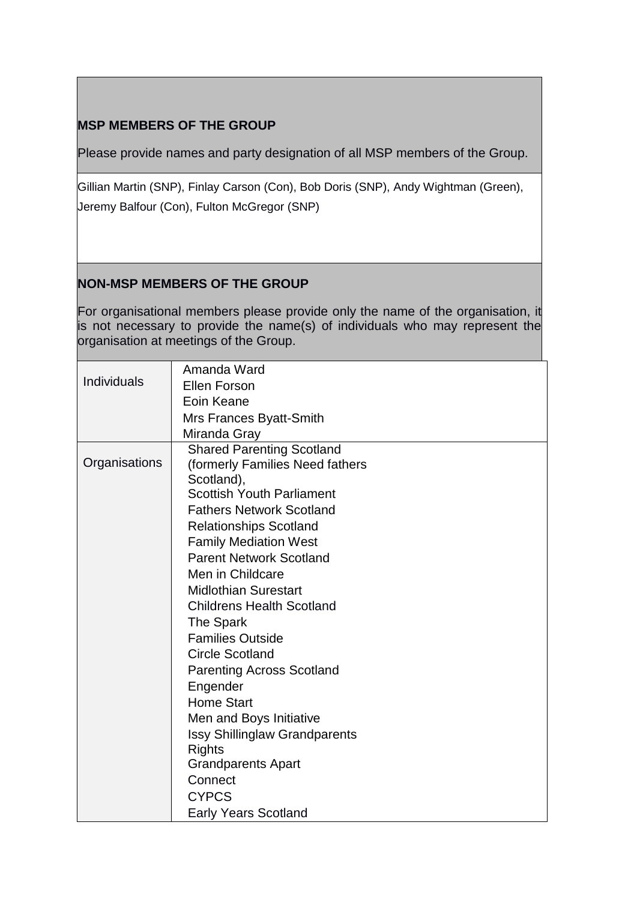# **MSP MEMBERS OF THE GROUP**

Please provide names and party designation of all MSP members of the Group.

Gillian Martin (SNP), Finlay Carson (Con), Bob Doris (SNP), Andy Wightman (Green), Jeremy Balfour (Con), Fulton McGregor (SNP)

# **NON-MSP MEMBERS OF THE GROUP**

For organisational members please provide only the name of the organisation, it is not necessary to provide the name(s) of individuals who may represent the organisation at meetings of the Group.

|               | Amanda Ward                          |
|---------------|--------------------------------------|
| Individuals   | <b>Ellen Forson</b>                  |
|               | Eoin Keane                           |
|               | Mrs Frances Byatt-Smith              |
|               | Miranda Gray                         |
|               | <b>Shared Parenting Scotland</b>     |
| Organisations | (formerly Families Need fathers      |
|               | Scotland),                           |
|               | <b>Scottish Youth Parliament</b>     |
|               | <b>Fathers Network Scotland</b>      |
|               | <b>Relationships Scotland</b>        |
|               | <b>Family Mediation West</b>         |
|               | <b>Parent Network Scotland</b>       |
|               | Men in Childcare                     |
|               | <b>Midlothian Surestart</b>          |
|               | <b>Childrens Health Scotland</b>     |
|               | The Spark                            |
|               | <b>Families Outside</b>              |
|               | <b>Circle Scotland</b>               |
|               | <b>Parenting Across Scotland</b>     |
|               | Engender                             |
|               | <b>Home Start</b>                    |
|               | Men and Boys Initiative              |
|               | <b>Issy Shillinglaw Grandparents</b> |
|               | <b>Rights</b>                        |
|               | <b>Grandparents Apart</b>            |
|               | Connect                              |
|               | <b>CYPCS</b>                         |
|               | <b>Early Years Scotland</b>          |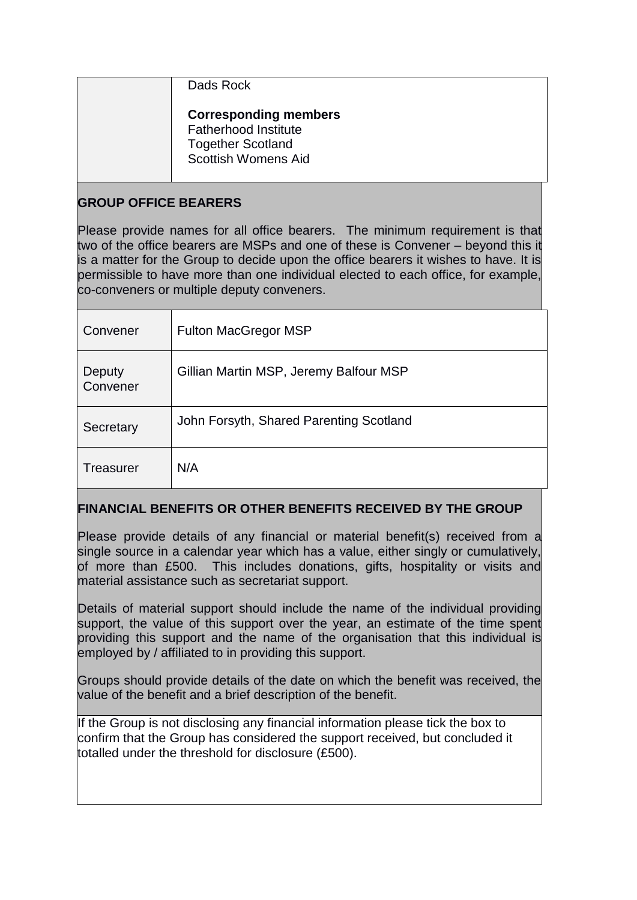### Dads Rock

#### **Corresponding members** Fatherhood Institute Together Scotland Scottish Womens Aid

# **GROUP OFFICE BEARERS**

Please provide names for all office bearers. The minimum requirement is that two of the office bearers are MSPs and one of these is Convener – beyond this it is a matter for the Group to decide upon the office bearers it wishes to have. It is permissible to have more than one individual elected to each office, for example, co-conveners or multiple deputy conveners.

| Convener           | <b>Fulton MacGregor MSP</b>             |
|--------------------|-----------------------------------------|
| Deputy<br>Convener | Gillian Martin MSP, Jeremy Balfour MSP  |
| Secretary          | John Forsyth, Shared Parenting Scotland |
| Treasurer          | N/A                                     |

# **FINANCIAL BENEFITS OR OTHER BENEFITS RECEIVED BY THE GROUP**

Please provide details of any financial or material benefit(s) received from a single source in a calendar year which has a value, either singly or cumulatively, of more than £500. This includes donations, gifts, hospitality or visits and material assistance such as secretariat support.

Details of material support should include the name of the individual providing support, the value of this support over the year, an estimate of the time spent providing this support and the name of the organisation that this individual is employed by / affiliated to in providing this support.

Groups should provide details of the date on which the benefit was received, the value of the benefit and a brief description of the benefit.

If the Group is not disclosing any financial information please tick the box to confirm that the Group has considered the support received, but concluded it totalled under the threshold for disclosure (£500).